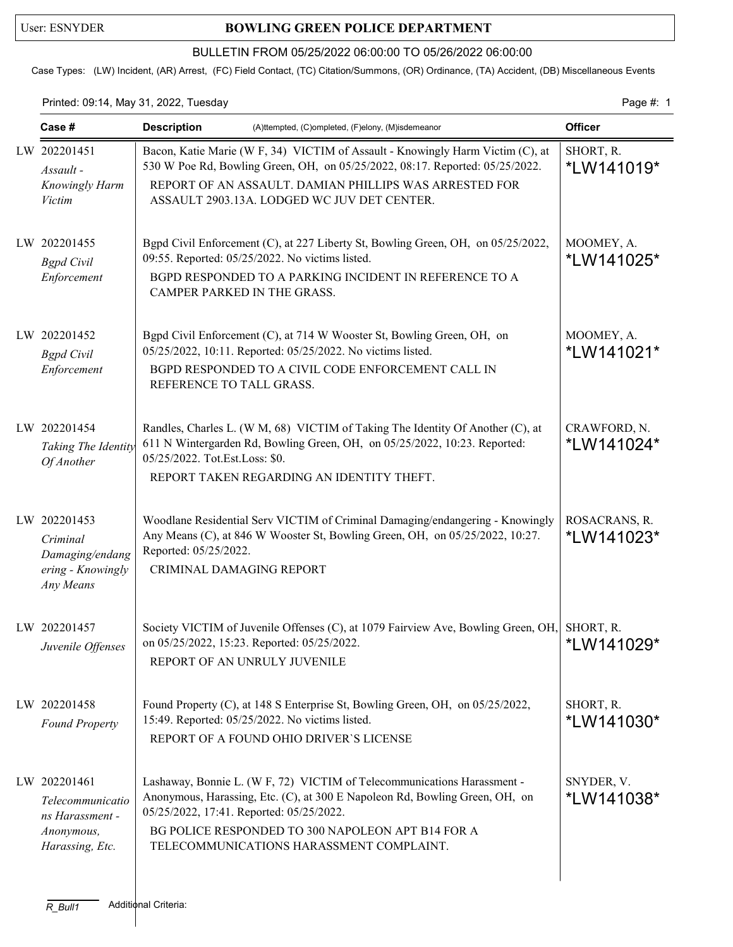## User: ESNYDER **BOWLING GREEN POLICE DEPARTMENT**

### BULLETIN FROM 05/25/2022 06:00:00 TO 05/26/2022 06:00:00

Case Types: (LW) Incident, (AR) Arrest, (FC) Field Contact, (TC) Citation/Summons, (OR) Ordinance, (TA) Accident, (DB) Miscellaneous Events

### Printed: 09:14, May 31, 2022, Tuesday Page #: 1

| Case #                                                                               | <b>Description</b><br>(A)ttempted, (C)ompleted, (F)elony, (M)isdemeanor                                                                                                                                                                                                                             |                                  |
|--------------------------------------------------------------------------------------|-----------------------------------------------------------------------------------------------------------------------------------------------------------------------------------------------------------------------------------------------------------------------------------------------------|----------------------------------|
| LW 202201451<br>Assault -<br>Knowingly Harm<br>Victim                                | Bacon, Katie Marie (W F, 34) VICTIM of Assault - Knowingly Harm Victim (C), at<br>530 W Poe Rd, Bowling Green, OH, on 05/25/2022, 08:17. Reported: 05/25/2022.<br>REPORT OF AN ASSAULT. DAMIAN PHILLIPS WAS ARRESTED FOR<br>ASSAULT 2903.13A. LODGED WC JUV DET CENTER.                             | SHORT, R.<br>*LW141019*          |
| LW 202201455<br><b>Bgpd</b> Civil<br>Enforcement                                     | Bgpd Civil Enforcement (C), at 227 Liberty St, Bowling Green, OH, on 05/25/2022,<br>09:55. Reported: 05/25/2022. No victims listed.<br>BGPD RESPONDED TO A PARKING INCIDENT IN REFERENCE TO A<br>CAMPER PARKED IN THE GRASS.                                                                        | MOOMEY, A.<br>*LW141025*         |
| LW 202201452<br><b>Bgpd</b> Civil<br>Enforcement                                     | Bgpd Civil Enforcement (C), at 714 W Wooster St, Bowling Green, OH, on<br>05/25/2022, 10:11. Reported: 05/25/2022. No victims listed.<br>BGPD RESPONDED TO A CIVIL CODE ENFORCEMENT CALL IN<br>REFERENCE TO TALL GRASS.                                                                             | MOOMEY, A.<br>*LW141021*         |
| LW 202201454<br>Taking The Identity<br>Of Another                                    | Randles, Charles L. (W M, 68) VICTIM of Taking The Identity Of Another (C), at<br>611 N Wintergarden Rd, Bowling Green, OH, on 05/25/2022, 10:23. Reported:<br>05/25/2022. Tot.Est.Loss: \$0.<br>REPORT TAKEN REGARDING AN IDENTITY THEFT.                                                          | CRAWFORD, N.<br>*LW141024*       |
| LW 202201453<br>Criminal<br>Damaging/endang<br>ering - Knowingly<br>Any Means        | Woodlane Residential Serv VICTIM of Criminal Damaging/endangering - Knowingly<br>Any Means (C), at 846 W Wooster St, Bowling Green, OH, on 05/25/2022, 10:27.<br>Reported: 05/25/2022.<br>CRIMINAL DAMAGING REPORT                                                                                  | ROSACRANS, R.<br>*LW141023*      |
| LW 202201457<br>Juvenile Offenses                                                    | Society VICTIM of Juvenile Offenses (C), at 1079 Fairview Ave, Bowling Green, OH,<br>on 05/25/2022, 15:23. Reported: 05/25/2022.<br>REPORT OF AN UNRULY JUVENILE                                                                                                                                    | SHORT, R.<br>*LW141029*          |
| LW 202201458<br><b>Found Property</b>                                                | Found Property (C), at 148 S Enterprise St, Bowling Green, OH, on 05/25/2022,<br>15:49. Reported: 05/25/2022. No victims listed.<br>REPORT OF A FOUND OHIO DRIVER'S LICENSE                                                                                                                         | SHORT, R.<br>*LW141030*          |
| LW 202201461<br>Telecommunicatio<br>ns Harassment -<br>Anonymous,<br>Harassing, Etc. | Lashaway, Bonnie L. (W F, 72) VICTIM of Telecommunications Harassment -<br>Anonymous, Harassing, Etc. (C), at 300 E Napoleon Rd, Bowling Green, OH, on<br>05/25/2022, 17:41. Reported: 05/25/2022.<br>BG POLICE RESPONDED TO 300 NAPOLEON APT B14 FOR A<br>TELECOMMUNICATIONS HARASSMENT COMPLAINT. | SNYDER, V.<br><i>*</i> LW141038* |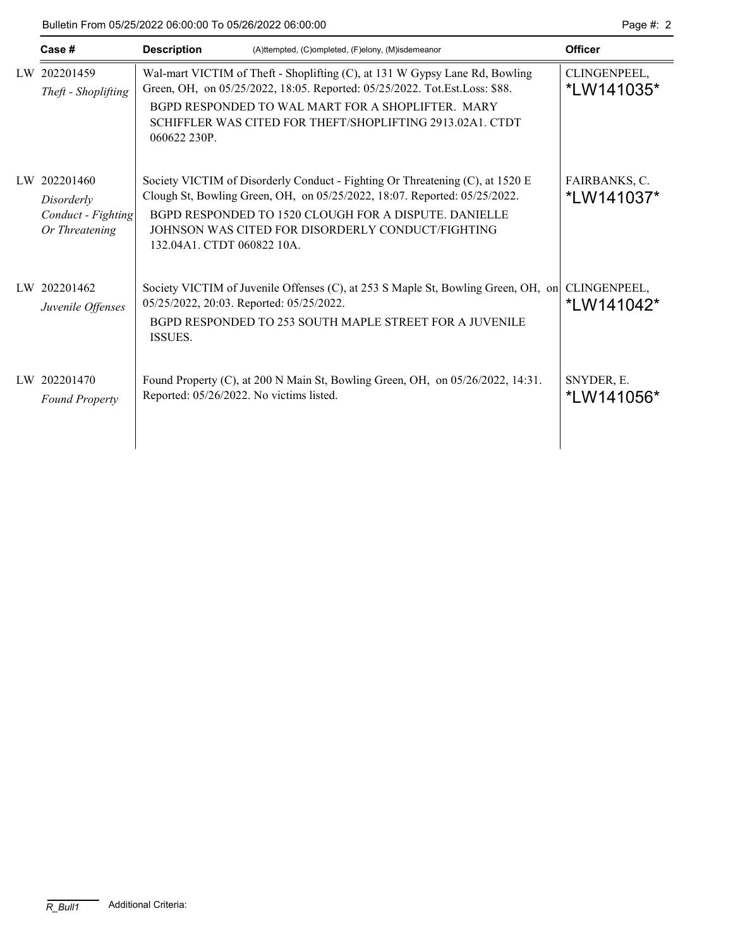Bulletin From 05/25/2022 06:00:00 To 05/26/2022 06:00:00 Page #: 2

| Case #                                                             | <b>Description</b><br>(A)ttempted, (C)ompleted, (F)elony, (M)isdemeanor                                                                                                                                                                                                                                | <b>Officer</b>              |
|--------------------------------------------------------------------|--------------------------------------------------------------------------------------------------------------------------------------------------------------------------------------------------------------------------------------------------------------------------------------------------------|-----------------------------|
| LW 202201459<br>Theft - Shoplifting                                | Wal-mart VICTIM of Theft - Shoplifting (C), at 131 W Gypsy Lane Rd, Bowling<br>Green, OH, on 05/25/2022, 18:05. Reported: 05/25/2022. Tot.Est.Loss: \$88.<br>BGPD RESPONDED TO WAL MART FOR A SHOPLIFTER. MARY<br>SCHIFFLER WAS CITED FOR THEFT/SHOPLIFTING 2913.02A1. CTDT<br>060622 230P.            | CLINGENPEEL,<br>*LW141035*  |
| LW 202201460<br>Disorderly<br>Conduct - Fighting<br>Or Threatening | Society VICTIM of Disorderly Conduct - Fighting Or Threatening (C), at 1520 E<br>Clough St, Bowling Green, OH, on 05/25/2022, 18:07. Reported: 05/25/2022.<br>BGPD RESPONDED TO 1520 CLOUGH FOR A DISPUTE. DANIELLE<br>JOHNSON WAS CITED FOR DISORDERLY CONDUCT/FIGHTING<br>132.04A1. CTDT 060822 10A. | FAIRBANKS, C.<br>*LW141037* |
| LW 202201462<br>Juvenile Offenses                                  | Society VICTIM of Juvenile Offenses (C), at 253 S Maple St, Bowling Green, OH, on<br>05/25/2022, 20:03. Reported: 05/25/2022.<br>BGPD RESPONDED TO 253 SOUTH MAPLE STREET FOR A JUVENILE<br>ISSUES.                                                                                                    | CLINGENPEEL,<br>*LW141042*  |
| LW 202201470<br><b>Found Property</b>                              | Found Property (C), at 200 N Main St, Bowling Green, OH, on 05/26/2022, 14:31.<br>Reported: 05/26/2022. No victims listed.                                                                                                                                                                             | SNYDER, E.<br>*LW141056*    |